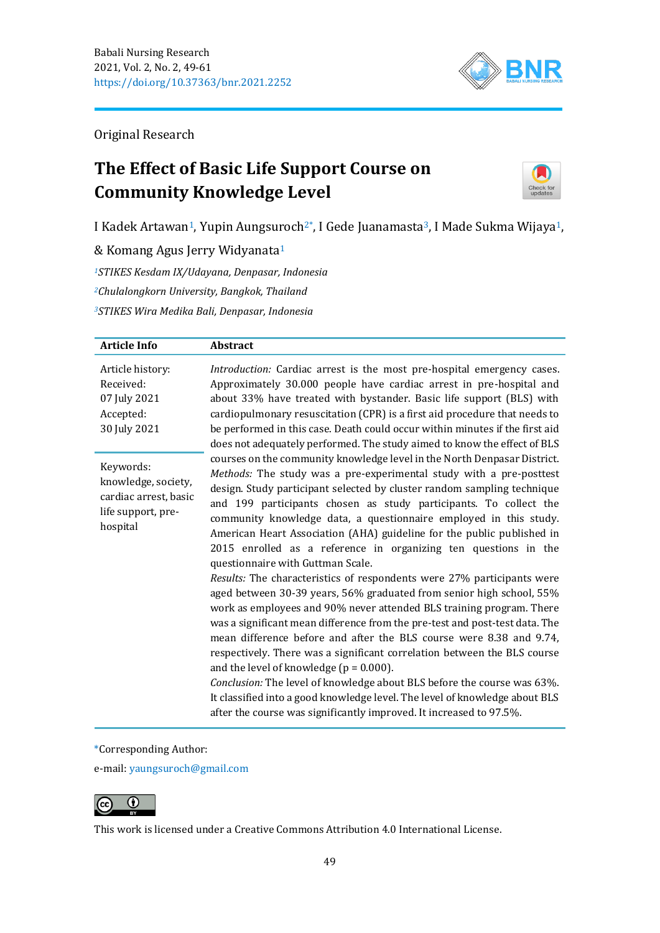

Original Research

# **The Effect of Basic Life Support Course on Community Knowledge Level**



I Kadek Artawan<sup>1</sup>, Yupin Aungsuroch<sup>2\*</sup>, I Gede Juanamasta<sup>3</sup>, I Made Sukma Wijaya<sup>1</sup>,

& Komang Agus Jerry Widyanata<sup>1</sup>

*<sup>1</sup>STIKES Kesdam IX/Udayana, Denpasar, Indonesia <sup>2</sup>Chulalongkorn University, Bangkok, Thailand <sup>3</sup>STIKES Wira Medika Bali, Denpasar, Indonesia*

| <b>Article Info</b>                                                                         | Abstract                                                                                                                                                                                                                                                                                                                                                                                                                                                                                                                                                                                                                                                                                                                                 |
|---------------------------------------------------------------------------------------------|------------------------------------------------------------------------------------------------------------------------------------------------------------------------------------------------------------------------------------------------------------------------------------------------------------------------------------------------------------------------------------------------------------------------------------------------------------------------------------------------------------------------------------------------------------------------------------------------------------------------------------------------------------------------------------------------------------------------------------------|
| Article history:<br>Received:<br>07 July 2021<br>Accepted:<br>30 July 2021                  | Introduction: Cardiac arrest is the most pre-hospital emergency cases.<br>Approximately 30.000 people have cardiac arrest in pre-hospital and<br>about 33% have treated with bystander. Basic life support (BLS) with<br>cardiopulmonary resuscitation (CPR) is a first aid procedure that needs to<br>be performed in this case. Death could occur within minutes if the first aid<br>does not adequately performed. The study aimed to know the effect of BLS                                                                                                                                                                                                                                                                          |
| Keywords:<br>knowledge, society,<br>cardiac arrest, basic<br>life support, pre-<br>hospital | courses on the community knowledge level in the North Denpasar District.<br>Methods: The study was a pre-experimental study with a pre-posttest<br>design. Study participant selected by cluster random sampling technique<br>and 199 participants chosen as study participants. To collect the<br>community knowledge data, a questionnaire employed in this study.<br>American Heart Association (AHA) guideline for the public published in<br>2015 enrolled as a reference in organizing ten questions in the<br>questionnaire with Guttman Scale.                                                                                                                                                                                   |
|                                                                                             | Results: The characteristics of respondents were 27% participants were<br>aged between 30-39 years, 56% graduated from senior high school, 55%<br>work as employees and 90% never attended BLS training program. There<br>was a significant mean difference from the pre-test and post-test data. The<br>mean difference before and after the BLS course were 8.38 and 9.74,<br>respectively. There was a significant correlation between the BLS course<br>and the level of knowledge ( $p = 0.000$ ).<br>Conclusion: The level of knowledge about BLS before the course was 63%.<br>It classified into a good knowledge level. The level of knowledge about BLS<br>after the course was significantly improved. It increased to 97.5%. |

\*Corresponding Author:

e-mail: [yaungsuroch@gmail.com](mailto:yaungsuroch@gmail.com)



This work is licensed under a [Creative Commons Attribution 4.0 International License.](https://creativecommons.org/licenses/by/4.0/)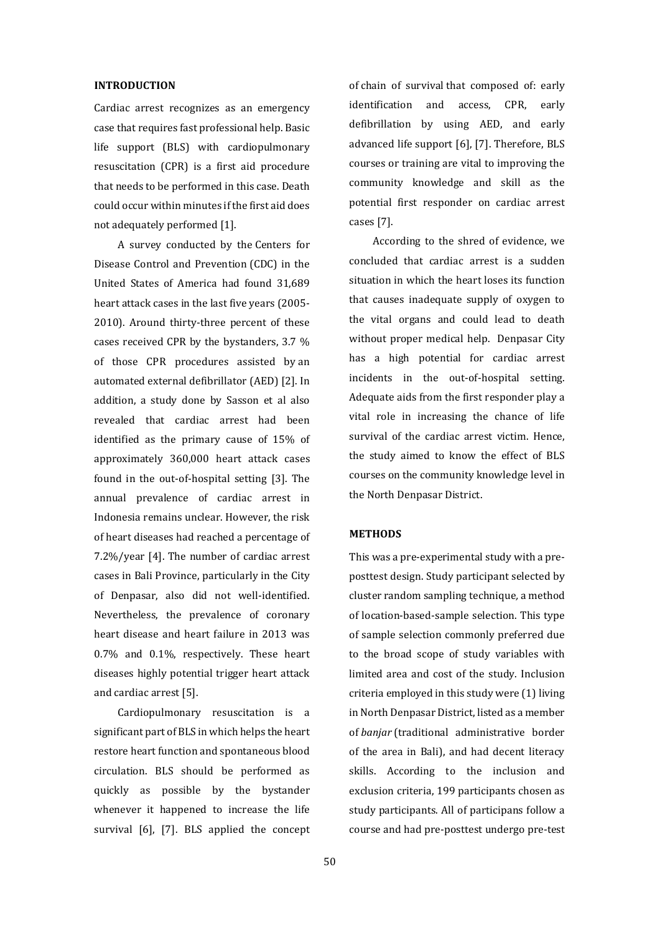#### **INTRODUCTION**

Cardiac arrest recognizes as an emergency case that requires fast professional help. Basic life support (BLS) with cardiopulmonary resuscitation (CPR) is a first aid procedure that needs to be performed in this case. Death could occur within minutes if the first aid does not adequately performed [1].

A survey conducted by the Centers for Disease Control and Prevention (CDC) in the United States of America had found 31,689 heart attack cases in the last five years (2005- 2010). Around thirty-three percent of these cases received CPR by the bystanders, 3.7 % of those CPR procedures assisted by an automated external defibrillator (AED) [2]. In addition, a study done by Sasson et al also revealed that cardiac arrest had been identified as the primary cause of 15% of approximately 360,000 heart attack cases found in the out-of-hospital setting [3]. The annual prevalence of cardiac arrest in Indonesia remains unclear. However, the risk of heart diseases had reached a percentage of 7.2%/year [4]. The number of cardiac arrest cases in Bali Province, particularly in the City of Denpasar, also did not well-identified. Nevertheless, the prevalence of coronary heart disease and heart failure in 2013 was 0.7% and 0.1%, respectively. These heart diseases highly potential trigger heart attack and cardiac arrest [5].

Cardiopulmonary resuscitation is a significant part of BLS in which helps the heart restore heart function and spontaneous blood circulation. BLS should be performed as quickly as possible by the bystander whenever it happened to increase the life survival [6], [7]. BLS applied the concept

of chain of survival that composed of: early identification and access, CPR, early defibrillation by using AED, and early advanced life support [6], [7]. Therefore, BLS courses or training are vital to improving the community knowledge and skill as the potential first responder on cardiac arrest cases [7].

According to the shred of evidence, we concluded that cardiac arrest is a sudden situation in which the heart loses its function that causes inadequate supply of oxygen to the vital organs and could lead to death without proper medical help. Denpasar City has a high potential for cardiac arrest incidents in the out-of-hospital setting. Adequate aids from the first responder play a vital role in increasing the chance of life survival of the cardiac arrest victim. Hence, the study aimed to know the effect of BLS courses on the community knowledge level in the North Denpasar District.

#### **METHODS**

This was a pre-experimental study with a preposttest design. Study participant selected by cluster random sampling technique*,* a method of location-based-sample selection. This type of sample selection commonly preferred due to the broad scope of study variables with limited area and cost of the study. Inclusion criteria employed in this study were (1) living in North Denpasar District, listed as a member of *banjar* (traditional administrative border of the area in Bali), and had decent literacy skills. According to the inclusion and exclusion criteria, 199 participants chosen as study participants. All of participans follow a course and had pre-posttest undergo pre-test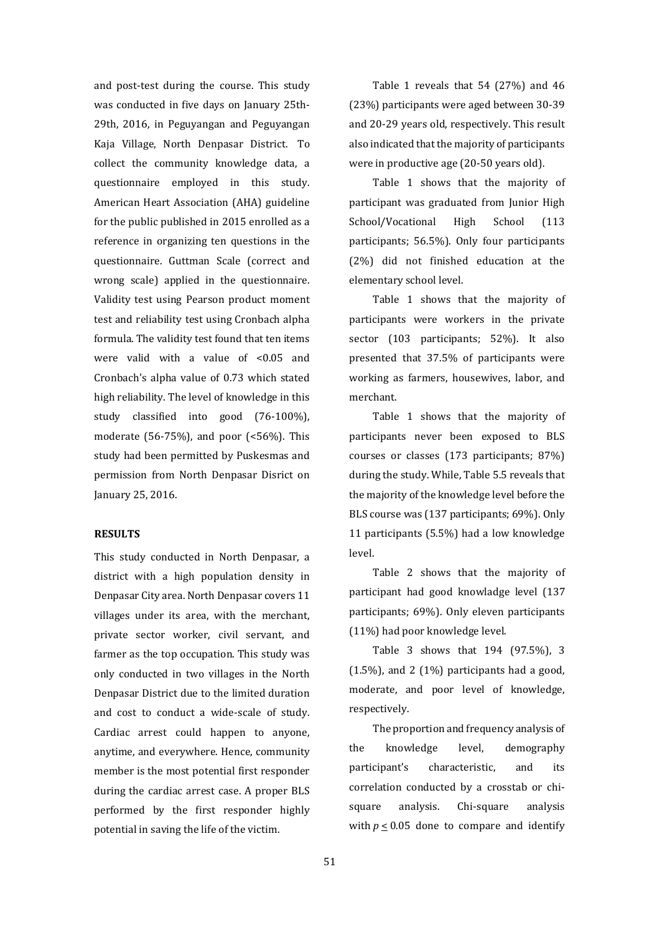and post-test during the course. This study was conducted in five days on January 25th-29th, 2016, in Peguyangan and Peguyangan Kaja Village, North Denpasar District. To collect the community knowledge data, a questionnaire employed in this study. American Heart Association (AHA) guideline for the public published in 2015 enrolled as a reference in organizing ten questions in the questionnaire. Guttman Scale (correct and wrong scale) applied in the questionnaire. Validity test using Pearson product moment test and reliability test using Cronbach alpha formula. The validity test found that ten items were valid with a value of <0.05 and Cronbach's alpha value of 0.73 which stated high reliability. The level of knowledge in this study classified into good (76-100%), moderate (56-75%), and poor (<56%). This study had been permitted by Puskesmas and permission from North Denpasar Disrict on January 25, 2016.

#### **RESULTS**

This study conducted in North Denpasar, a district with a high population density in Denpasar City area. North Denpasar covers 11 villages under its area, with the merchant, private sector worker, civil servant, and farmer as the top occupation. This study was only conducted in two villages in the North Denpasar District due to the limited duration and cost to conduct a wide-scale of study. Cardiac arrest could happen to anyone, anytime, and everywhere. Hence, community member is the most potential first responder during the cardiac arrest case. A proper BLS performed by the first responder highly potential in saving the life of the victim.

Table 1 reveals that 54 (27%) and 46 (23%) participants were aged between 30-39 and 20-29 years old, respectively. This result also indicated that the majority of participants were in productive age (20-50 years old).

Table 1 shows that the majority of participant was graduated from Junior High School/Vocational High School (113 participants; 56.5%). Only four participants (2%) did not finished education at the elementary school level.

Table 1 shows that the majority of participants were workers in the private sector (103 participants; 52%). It also presented that 37.5% of participants were working as farmers, housewives, labor, and merchant.

Table 1 shows that the majority of participants never been exposed to BLS courses or classes (173 participants; 87%) during the study. While, Table 5.5 reveals that the majority of the knowledge level before the BLS course was (137 participants; 69%). Only 11 participants (5.5%) had a low knowledge level.

Table 2 shows that the majority of participant had good knowladge level (137 participants; 69%). Only eleven participants (11%) had poor knowledge level.

Table 3 shows that 194 (97.5%), 3  $(1.5\%)$ , and 2  $(1\%)$  participants had a good, moderate, and poor level of knowledge, respectively.

The proportion and frequency analysis of the knowledge level, demography participant's characteristic, and its correlation conducted by a crosstab or chisquare analysis. Chi-square analysis with  $p \leq 0.05$  done to compare and identify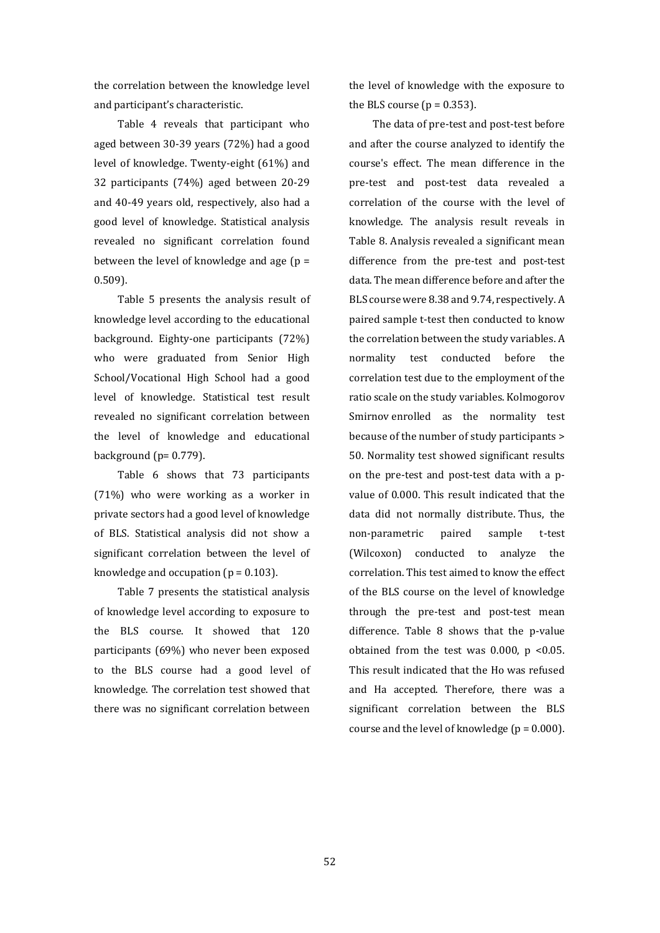the correlation between the knowledge level and participant's characteristic.

Table 4 reveals that participant who aged between 30-39 years (72%) had a good level of knowledge. Twenty-eight (61%) and 32 participants (74%) aged between 20-29 and 40-49 years old, respectively, also had a good level of knowledge. Statistical analysis revealed no significant correlation found between the level of knowledge and age (p = 0.509).

Table 5 presents the analysis result of knowledge level according to the educational background. Eighty-one participants (72%) who were graduated from Senior High School/Vocational High School had a good level of knowledge. Statistical test result revealed no significant correlation between the level of knowledge and educational background (p= 0.779).

Table 6 shows that 73 participants (71%) who were working as a worker in private sectors had a good level of knowledge of BLS. Statistical analysis did not show a significant correlation between the level of knowledge and occupation ( $p = 0.103$ ).

Table 7 presents the statistical analysis of knowledge level according to exposure to the BLS course. It showed that 120 participants (69%) who never been exposed to the BLS course had a good level of knowledge. The correlation test showed that there was no significant correlation between

the level of knowledge with the exposure to the BLS course  $(p = 0.353)$ .

The data of pre-test and post-test before and after the course analyzed to identify the course's effect. The mean difference in the pre-test and post-test data revealed a correlation of the course with the level of knowledge. The analysis result reveals in Table 8. Analysis revealed a significant mean difference from the pre-test and post-test data. The mean difference before and after the BLS course were 8.38 and 9.74, respectively. A paired sample t-test then conducted to know the correlation between the study variables. A normality test conducted before the correlation test due to the employment of the ratio scale on the study variables. Kolmogorov Smirnov enrolled as the normality test because of the number of study participants > 50. Normality test showed significant results on the pre-test and post-test data with a pvalue of 0.000. This result indicated that the data did not normally distribute. Thus, the non-parametric paired sample t-test (Wilcoxon) conducted to analyze the correlation. This test aimed to know the effect of the BLS course on the level of knowledge through the pre-test and post-test mean difference. Table 8 shows that the p-value obtained from the test was  $0.000$ ,  $p < 0.05$ . This result indicated that the Ho was refused and Ha accepted. Therefore, there was a significant correlation between the BLS course and the level of knowledge  $(p = 0.000)$ .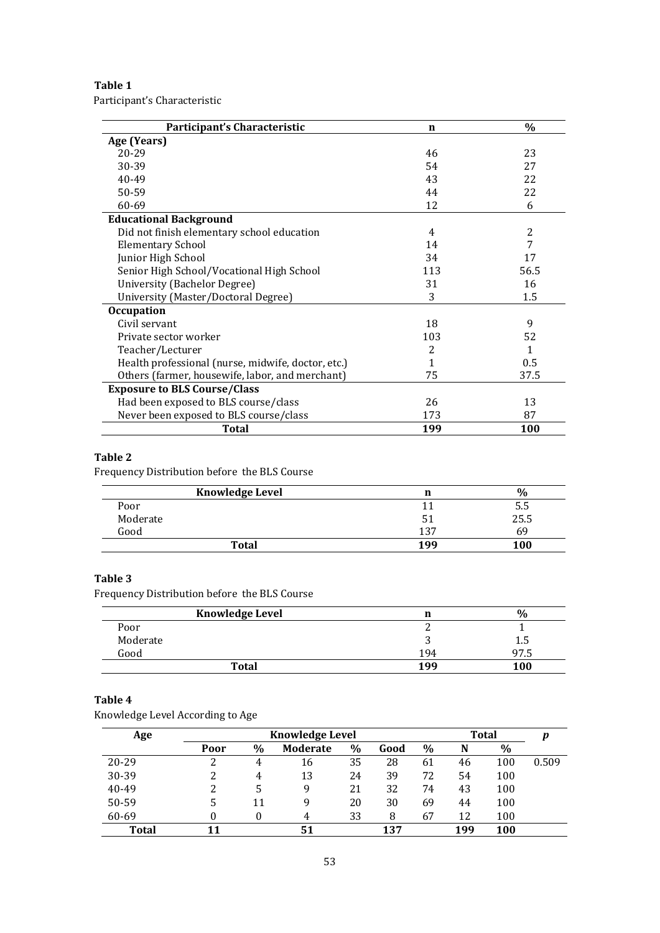## **Table 1**

Participant's Characteristic

| Participant's Characteristic                       | n   | $\frac{0}{0}$ |
|----------------------------------------------------|-----|---------------|
| Age (Years)                                        |     |               |
| 20-29                                              | 46  | 23            |
| 30-39                                              | 54  | 27            |
| 40-49                                              | 43  | 22            |
| 50-59                                              | 44  | 22            |
| 60-69                                              | 12  | 6             |
| <b>Educational Background</b>                      |     |               |
| Did not finish elementary school education         | 4   | 2             |
| <b>Elementary School</b>                           | 14  | 7             |
| Junior High School                                 | 34  | 17            |
| Senior High School/Vocational High School          | 113 | 56.5          |
| University (Bachelor Degree)                       | 31  | 16            |
| University (Master/Doctoral Degree)                | 3   | 1.5           |
| <b>Occupation</b>                                  |     |               |
| Civil servant                                      | 18  | 9             |
| Private sector worker                              | 103 | 52            |
| Teacher/Lecturer                                   | 2   | $\mathbf{1}$  |
| Health professional (nurse, midwife, doctor, etc.) | 1   | 0.5           |
| Others (farmer, housewife, labor, and merchant)    | 75  | 37.5          |
| <b>Exposure to BLS Course/Class</b>                |     |               |
| Had been exposed to BLS course/class               | 26  | 13            |
| Never been exposed to BLS course/class             | 173 | 87            |
| <b>Total</b>                                       | 199 | <b>100</b>    |

## **Table 2**

Frequency Distribution before the BLS Course

| <b>Knowledge Level</b> | n   | $\%$ |
|------------------------|-----|------|
| Poor                   |     | 5.5  |
| Moderate               | 51  | 25.5 |
| Good                   | 137 | 69   |
| <b>Total</b>           | 199 | 100  |

# **Table 3**

Frequency Distribution before the BLS Course

| <b>Knowledge Level</b> | n   | $\frac{0}{0}$                  |
|------------------------|-----|--------------------------------|
| Poor                   | ∸   |                                |
| Moderate               | ب   | 1.5                            |
| Good                   | 194 | а7<br>$\overline{\phantom{a}}$ |
| <b>Total</b>           | 199 | 100                            |

## **Table 4**

Knowledge Level According to Age

| Age          | <b>Knowledge Level</b> |    |                 |      |      |      | <b>Total</b> |      |       |
|--------------|------------------------|----|-----------------|------|------|------|--------------|------|-------|
|              | Poor                   | %  | <b>Moderate</b> | $\%$ | Good | $\%$ | N            | $\%$ |       |
| $20 - 29$    | 2                      | 4  | 16              | 35   | 28   | 61   | 46           | 100  | 0.509 |
| 30-39        | 2                      | 4  | 13              | 24   | 39   | 72   | 54           | 100  |       |
| 40-49        | 2                      | 5  | 9               | 21   | 32   | 74   | 43           | 100  |       |
| 50-59        | 5                      | 11 | 9               | 20   | 30   | 69   | 44           | 100  |       |
| 60-69        |                        |    | 4               | 33   | 8    | 67   | 12           | 100  |       |
| <b>Total</b> |                        |    |                 |      | 137  |      | 199          | 100  |       |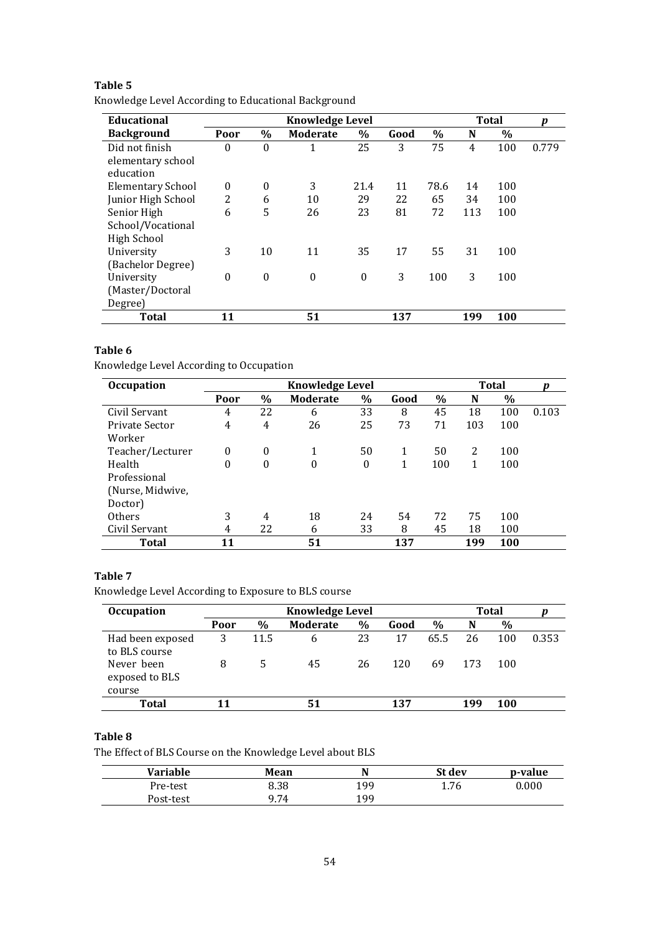| Educational              | <b>Knowledge Level</b> |                  |                 |                  |      |      | <b>Total</b> | D    |       |
|--------------------------|------------------------|------------------|-----------------|------------------|------|------|--------------|------|-------|
| <b>Background</b>        | Poor                   | $\%$             | <b>Moderate</b> | $\%$             | Good | $\%$ | N            | $\%$ |       |
| Did not finish           | $\boldsymbol{0}$       | $\boldsymbol{0}$ | 1               | 25               | 3    | 75   | 4            | 100  | 0.779 |
| elementary school        |                        |                  |                 |                  |      |      |              |      |       |
| education                |                        |                  |                 |                  |      |      |              |      |       |
| <b>Elementary School</b> | $\boldsymbol{0}$       | $\theta$         | 3               | 21.4             | 11   | 78.6 | 14           | 100  |       |
| Junior High School       | 2                      | 6                | 10              | 29               | 22   | 65   | 34           | 100  |       |
| Senior High              | 6                      | 5                | 26              | 23               | 81   | 72   | 113          | 100  |       |
| School/Vocational        |                        |                  |                 |                  |      |      |              |      |       |
| <b>High School</b>       |                        |                  |                 |                  |      |      |              |      |       |
| University               | 3                      | 10               | 11              | 35               | 17   | 55   | 31           | 100  |       |
| (Bachelor Degree)        |                        |                  |                 |                  |      |      |              |      |       |
| University               | $\theta$               | $\boldsymbol{0}$ | $\theta$        | $\boldsymbol{0}$ | 3    | 100  | 3            | 100  |       |
| (Master/Doctoral         |                        |                  |                 |                  |      |      |              |      |       |
| Degree)                  |                        |                  |                 |                  |      |      |              |      |       |
| <b>Total</b>             | 11                     |                  | 51              |                  | 137  |      | 199          | 100  |       |

## **Table 5** Knowledge Level According to Educational Background

# **Table 6**

## Knowledge Level According to Occupation

| <b>Occupation</b> | <b>Knowledge Level</b> |                  |                 |                  |      |      |     | <b>Total</b> | p     |
|-------------------|------------------------|------------------|-----------------|------------------|------|------|-----|--------------|-------|
|                   | Poor                   | $\%$             | <b>Moderate</b> | $\%$             | Good | $\%$ | N   | $\%$         |       |
| Civil Servant     | 4                      | 22               | 6               | 33               | 8    | 45   | 18  | 100          | 0.103 |
| Private Sector    | 4                      | 4                | 26              | 25               | 73   | 71   | 103 | 100          |       |
| Worker            |                        |                  |                 |                  |      |      |     |              |       |
| Teacher/Lecturer  | $\boldsymbol{0}$       | $\boldsymbol{0}$ | 1               | 50               | 1    | 50   | 2   | 100          |       |
| Health            | 0                      | $\theta$         | 0               | $\boldsymbol{0}$ | 1    | 100  | 1   | 100          |       |
| Professional      |                        |                  |                 |                  |      |      |     |              |       |
| (Nurse, Midwive,  |                        |                  |                 |                  |      |      |     |              |       |
| Doctor)           |                        |                  |                 |                  |      |      |     |              |       |
| Others            | 3                      | 4                | 18              | 24               | 54   | 72   | 75  | 100          |       |
| Civil Servant     | 4                      | 22               | 6               | 33               | 8    | 45   | 18  | 100          |       |
| <b>Total</b>      | 11                     |                  | 51              |                  | 137  |      | 199 | <b>100</b>   |       |

## **Table 7**

Knowledge Level According to Exposure to BLS course

| <b>Occupation</b>                 | <b>Knowledge Level</b> |      |                 |      |      |      |     | <b>Total</b> |       |
|-----------------------------------|------------------------|------|-----------------|------|------|------|-----|--------------|-------|
|                                   | Poor                   | $\%$ | <b>Moderate</b> | $\%$ | Good | $\%$ | N   | $\%$         |       |
| Had been exposed<br>to BLS course | 3                      | 11.5 | 6               | 23   | 17   | 65.5 | 26  | 100          | 0.353 |
| Never been<br>exposed to BLS      | 8                      | 5.   | 45              | 26   | 120  | 69   | 173 | 100          |       |
| course                            |                        |      |                 |      |      |      |     |              |       |
| <b>Total</b>                      | 11                     |      | 51              |      | 137  |      | 199 | 100          |       |

### **Table 8**

The Effect of BLS Course on the Knowledge Level about BLS

| <b>Variable</b> | Mean |     | St dev | p-value |
|-----------------|------|-----|--------|---------|
| Pre-test        | 8.38 | 199 | 1.76   | 0.000   |
| Post-test       | 9.74 | 199 |        |         |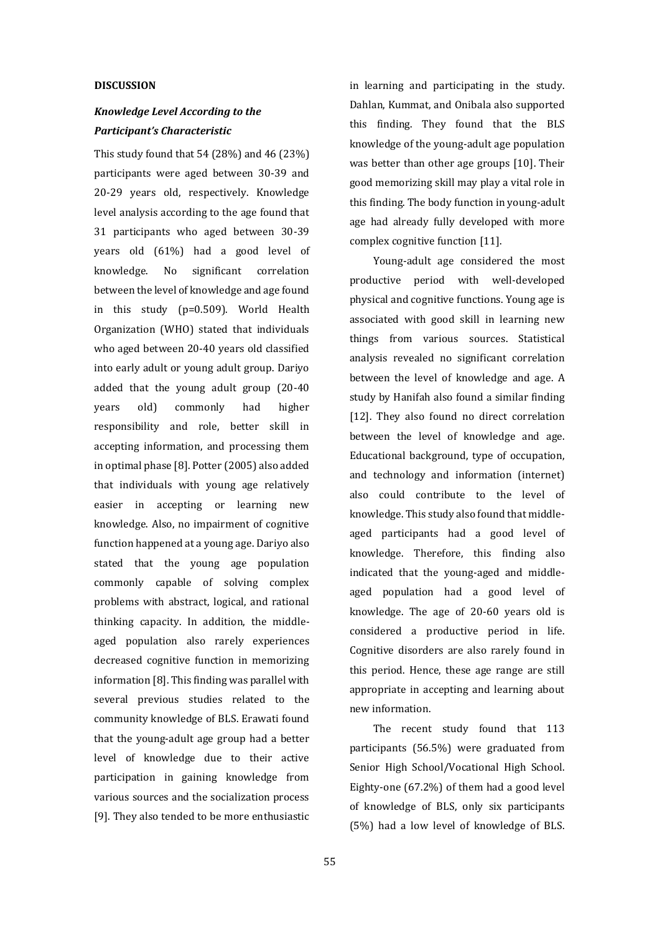#### **DISCUSSION**

# *Knowledge Level According to the Participant's Characteristic*

This study found that 54 (28%) and 46 (23%) participants were aged between 30-39 and 20-29 years old, respectively. Knowledge level analysis according to the age found that 31 participants who aged between 30-39 years old (61%) had a good level of knowledge. No significant correlation between the level of knowledge and age found in this study (p=0.509). World Health Organization (WHO) stated that individuals who aged between 20-40 years old classified into early adult or young adult group. Dariyo added that the young adult group (20-40 years old) commonly had higher responsibility and role, better skill in accepting information, and processing them in optimal phase [8]. Potter (2005) also added that individuals with young age relatively easier in accepting or learning new knowledge. Also, no impairment of cognitive function happened at a young age. Dariyo also stated that the young age population commonly capable of solving complex problems with abstract, logical, and rational thinking capacity. In addition, the middleaged population also rarely experiences decreased cognitive function in memorizing information [8]. This finding was parallel with several previous studies related to the community knowledge of BLS. Erawati found that the young-adult age group had a better level of knowledge due to their active participation in gaining knowledge from various sources and the socialization process [9]. They also tended to be more enthusiastic in learning and participating in the study. Dahlan, Kummat, and Onibala also supported this finding. They found that the BLS knowledge of the young-adult age population was better than other age groups [10]. Their good memorizing skill may play a vital role in this finding. The body function in young-adult age had already fully developed with more complex cognitive function [11].

Young-adult age considered the most productive period with well-developed physical and cognitive functions. Young age is associated with good skill in learning new things from various sources. Statistical analysis revealed no significant correlation between the level of knowledge and age. A study by Hanifah also found a similar finding [12]. They also found no direct correlation between the level of knowledge and age. Educational background, type of occupation, and technology and information (internet) also could contribute to the level of knowledge. This study also found that middleaged participants had a good level of knowledge. Therefore, this finding also indicated that the young-aged and middleaged population had a good level of knowledge. The age of 20-60 years old is considered a productive period in life. Cognitive disorders are also rarely found in this period. Hence, these age range are still appropriate in accepting and learning about new information.

The recent study found that 113 participants (56.5%) were graduated from Senior High School/Vocational High School. Eighty-one (67.2%) of them had a good level of knowledge of BLS, only six participants (5%) had a low level of knowledge of BLS.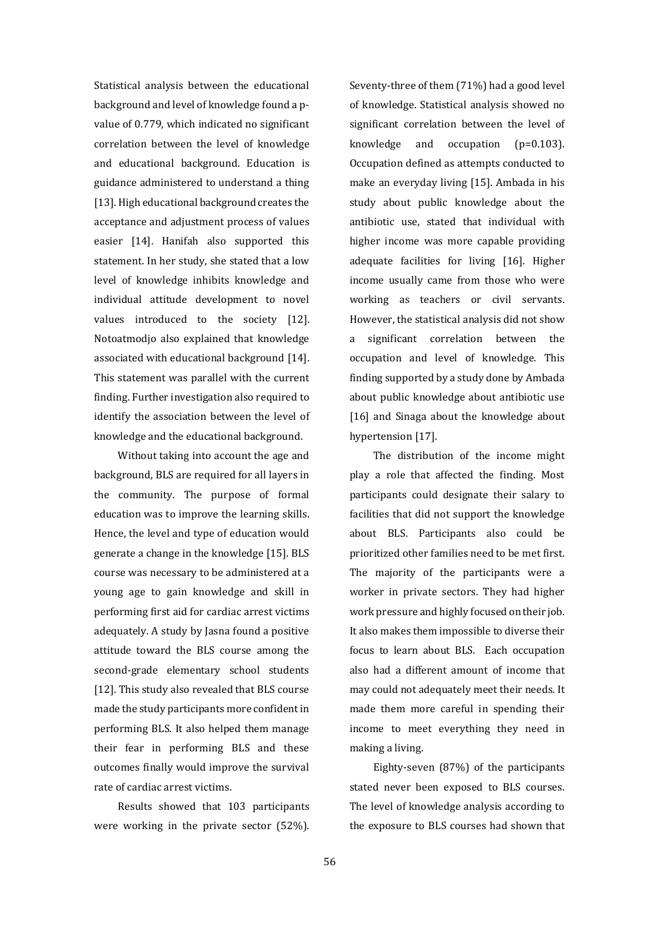Statistical analysis between the educational background and level of knowledge found a pvalue of 0.779, which indicated no significant correlation between the level of knowledge and educational background. Education is guidance administered to understand a thing [13]. High educational background creates the acceptance and adjustment process of values easier [14]. Hanifah also supported this statement. In her study, she stated that a low level of knowledge inhibits knowledge and individual attitude development to novel values introduced to the society [12]. Notoatmodjo also explained that knowledge associated with educational background [14]. This statement was parallel with the current finding. Further investigation also required to identify the association between the level of knowledge and the educational background.

Without taking into account the age and background, BLS are required for all layers in the community. The purpose of formal education was to improve the learning skills. Hence, the level and type of education would generate a change in the knowledge [15]. BLS course was necessary to be administered at a young age to gain knowledge and skill in performing first aid for cardiac arrest victims adequately. A study by Jasna found a positive attitude toward the BLS course among the second-grade elementary school students [12]. This study also revealed that BLS course made the study participants more confident in performing BLS. It also helped them manage their fear in performing BLS and these outcomes finally would improve the survival rate of cardiac arrest victims.

Results showed that 103 participants were working in the private sector (52%).

Seventy-three of them (71%) had a good level of knowledge. Statistical analysis showed no significant correlation between the level of knowledge and occupation (p=0.103). Occupation defined as attempts conducted to make an everyday living [15]. Ambada in his study about public knowledge about the antibiotic use, stated that individual with higher income was more capable providing adequate facilities for living [16]. Higher income usually came from those who were working as teachers or civil servants. However, the statistical analysis did not show significant correlation between the occupation and level of knowledge. This finding supported by a study done by Ambada about public knowledge about antibiotic use [16] and Sinaga about the knowledge about hypertension [17].

The distribution of the income might play a role that affected the finding. Most participants could designate their salary to facilities that did not support the knowledge about BLS. Participants also could be prioritized other families need to be met first. The majority of the participants were a worker in private sectors. They had higher work pressure and highly focused on their job. It also makes them impossible to diverse their focus to learn about BLS. Each occupation also had a different amount of income that may could not adequately meet their needs. It made them more careful in spending their income to meet everything they need in making a living.

Eighty-seven (87%) of the participants stated never been exposed to BLS courses. The level of knowledge analysis according to the exposure to BLS courses had shown that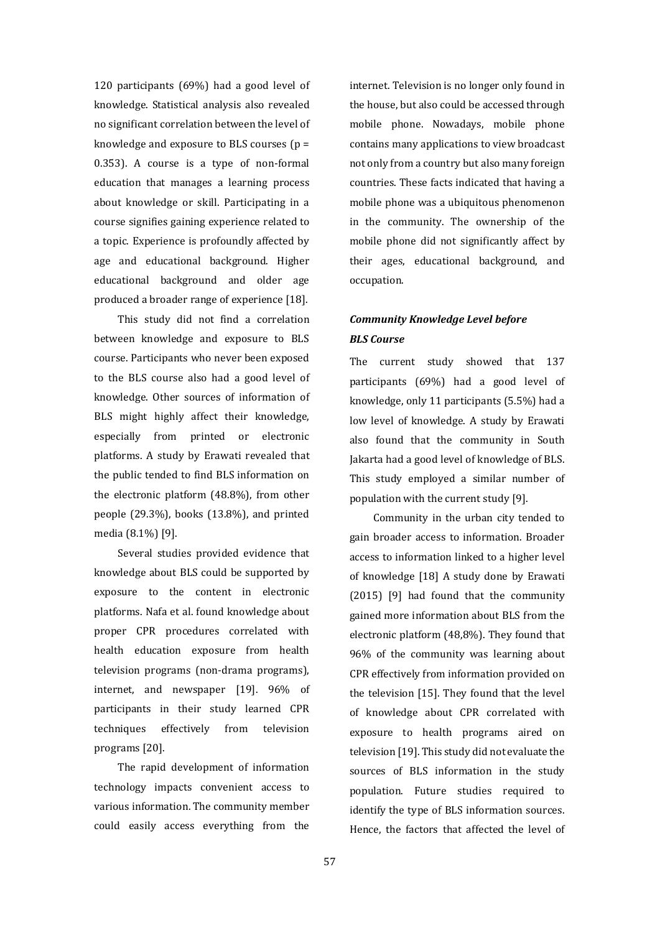120 participants (69%) had a good level of knowledge. Statistical analysis also revealed no significant correlation between the level of knowledge and exposure to BLS courses (p = 0.353). A course is a type of non-formal education that manages a learning process about knowledge or skill. Participating in a course signifies gaining experience related to a topic. Experience is profoundly affected by age and educational background. Higher educational background and older age produced a broader range of experience [18].

This study did not find a correlation between knowledge and exposure to BLS course. Participants who never been exposed to the BLS course also had a good level of knowledge. Other sources of information of BLS might highly affect their knowledge, especially from printed or electronic platforms. A study by Erawati revealed that the public tended to find BLS information on the electronic platform (48.8%), from other people (29.3%), books (13.8%), and printed media (8.1%) [9].

Several studies provided evidence that knowledge about BLS could be supported by exposure to the content in electronic platforms. Nafa et al. found knowledge about proper CPR procedures correlated with health education exposure from health television programs (non-drama programs), internet, and newspaper [19]. 96% of participants in their study learned CPR techniques effectively from television programs [20].

The rapid development of information technology impacts convenient access to various information. The community member could easily access everything from the

internet. Television is no longer only found in the house, but also could be accessed through mobile phone. Nowadays, mobile phone contains many applications to view broadcast not only from a country but also many foreign countries. These facts indicated that having a mobile phone was a ubiquitous phenomenon in the community. The ownership of the mobile phone did not significantly affect by their ages, educational background, and occupation.

# *Community Knowledge Level before BLS Course*

The current study showed that 137 participants (69%) had a good level of knowledge, only 11 participants (5.5%) had a low level of knowledge. A study by Erawati also found that the community in South Jakarta had a good level of knowledge of BLS. This study employed a similar number of population with the current study [9].

Community in the urban city tended to gain broader access to information. Broader access to information linked to a higher level of knowledge [18] A study done by Erawati (2015) [9] had found that the community gained more information about BLS from the electronic platform (48,8%). They found that 96% of the community was learning about CPR effectively from information provided on the television [15]. They found that the level of knowledge about CPR correlated with exposure to health programs aired on television [19]. This study did not evaluate the sources of BLS information in the study population. Future studies required to identify the type of BLS information sources. Hence, the factors that affected the level of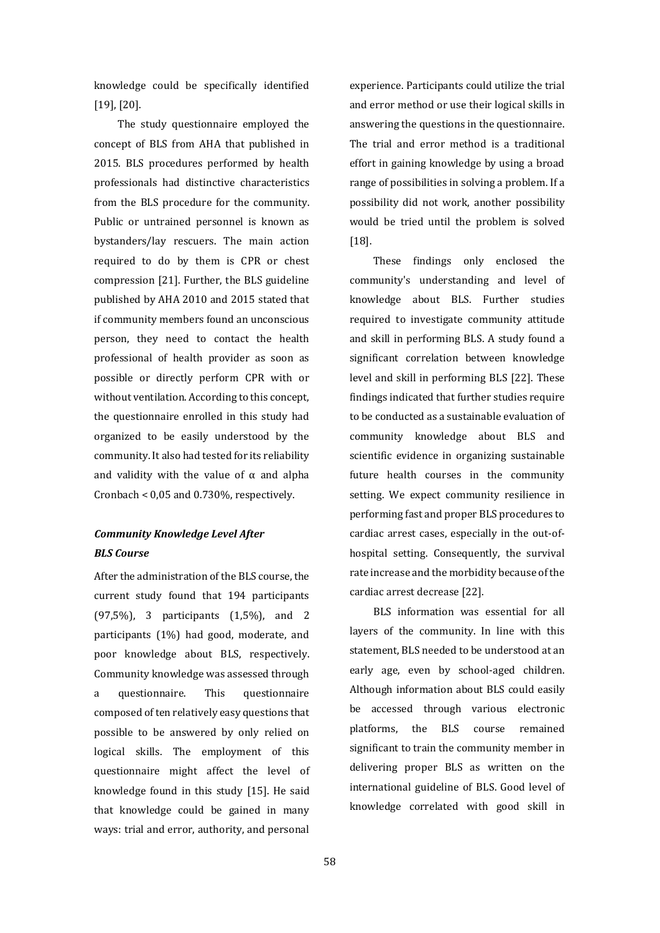knowledge could be specifically identified [19], [20].

The study questionnaire employed the concept of BLS from AHA that published in 2015. BLS procedures performed by health professionals had distinctive characteristics from the BLS procedure for the community. Public or untrained personnel is known as bystanders/lay rescuers. The main action required to do by them is CPR or chest compression [21]. Further, the BLS guideline published by AHA 2010 and 2015 stated that if community members found an unconscious person, they need to contact the health professional of health provider as soon as possible or directly perform CPR with or without ventilation. According to this concept, the questionnaire enrolled in this study had organized to be easily understood by the community. It also had tested for its reliability and validity with the value of  $\alpha$  and alpha Cronbach < 0,05 and 0.730%, respectively.

# *Community Knowledge Level After BLS Course*

After the administration of the BLS course, the current study found that 194 participants (97,5%), 3 participants (1,5%), and 2 participants (1%) had good, moderate, and poor knowledge about BLS, respectively. Community knowledge was assessed through a questionnaire. This questionnaire composed of ten relatively easy questions that possible to be answered by only relied on logical skills. The employment of this questionnaire might affect the level of knowledge found in this study [15]. He said that knowledge could be gained in many ways: trial and error, authority, and personal

experience. Participants could utilize the trial and error method or use their logical skills in answering the questions in the questionnaire. The trial and error method is a traditional effort in gaining knowledge by using a broad range of possibilities in solving a problem. If a possibility did not work, another possibility would be tried until the problem is solved [18].

These findings only enclosed the community's understanding and level of knowledge about BLS. Further studies required to investigate community attitude and skill in performing BLS. A study found a significant correlation between knowledge level and skill in performing BLS [22]. These findings indicated that further studies require to be conducted as a sustainable evaluation of community knowledge about BLS and scientific evidence in organizing sustainable future health courses in the community setting. We expect community resilience in performing fast and proper BLS procedures to cardiac arrest cases, especially in the out-ofhospital setting. Consequently, the survival rate increase and the morbidity because of the cardiac arrest decrease [22].

BLS information was essential for all layers of the community. In line with this statement, BLS needed to be understood at an early age, even by school-aged children. Although information about BLS could easily be accessed through various electronic platforms, the BLS course remained significant to train the community member in delivering proper BLS as written on the international guideline of BLS. Good level of knowledge correlated with good skill in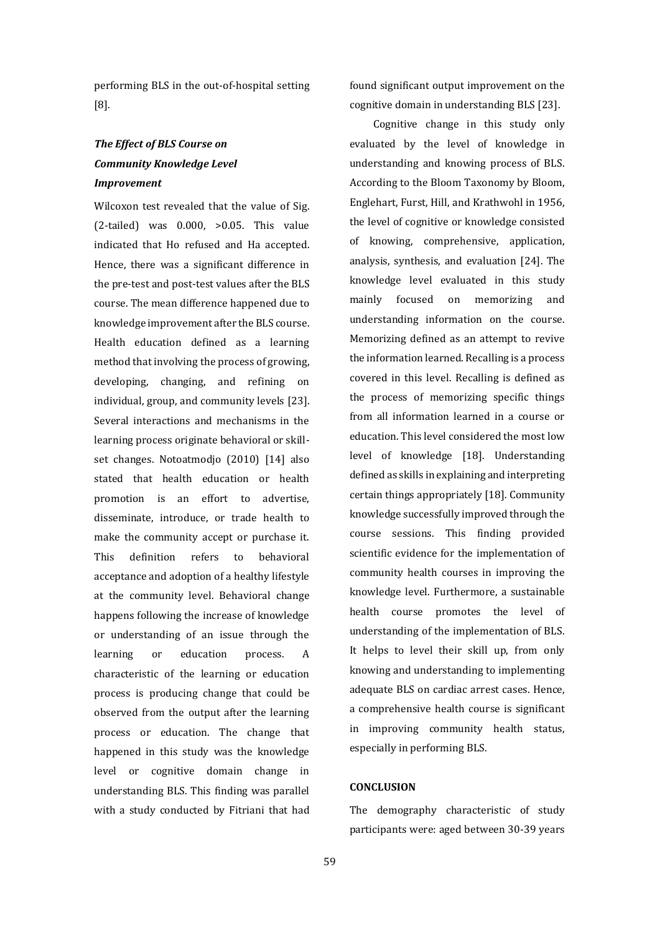performing BLS in the out-of-hospital setting [8].

# *The Effect of BLS Course on Community Knowledge Level Improvement*

Wilcoxon test revealed that the value of Sig. (2-tailed) was 0.000, >0.05. This value indicated that Ho refused and Ha accepted. Hence, there was a significant difference in the pre-test and post-test values after the BLS course. The mean difference happened due to knowledge improvement after the BLS course. Health education defined as a learning method that involving the process of growing, developing, changing, and refining on individual, group, and community levels [23]. Several interactions and mechanisms in the learning process originate behavioral or skillset changes. Notoatmodjo (2010) [14] also stated that health education or health promotion is an effort to advertise, disseminate, introduce, or trade health to make the community accept or purchase it. This definition refers to behavioral acceptance and adoption of a healthy lifestyle at the community level. Behavioral change happens following the increase of knowledge or understanding of an issue through the learning or education process. A characteristic of the learning or education process is producing change that could be observed from the output after the learning process or education. The change that happened in this study was the knowledge level or cognitive domain change in understanding BLS. This finding was parallel with a study conducted by Fitriani that had found significant output improvement on the cognitive domain in understanding BLS [23].

Cognitive change in this study only evaluated by the level of knowledge in understanding and knowing process of BLS. According to the Bloom Taxonomy by Bloom, Englehart, Furst, Hill, and Krathwohl in 1956, the level of cognitive or knowledge consisted of knowing, comprehensive, application, analysis, synthesis, and evaluation [24]. The knowledge level evaluated in this study mainly focused on memorizing and understanding information on the course. Memorizing defined as an attempt to revive the information learned. Recalling is a process covered in this level. Recalling is defined as the process of memorizing specific things from all information learned in a course or education. This level considered the most low level of knowledge [18]. Understanding defined as skills in explaining and interpreting certain things appropriately [18]. Community knowledge successfully improved through the course sessions. This finding provided scientific evidence for the implementation of community health courses in improving the knowledge level. Furthermore, a sustainable health course promotes the level of understanding of the implementation of BLS. It helps to level their skill up, from only knowing and understanding to implementing adequate BLS on cardiac arrest cases. Hence, a comprehensive health course is significant in improving community health status, especially in performing BLS.

#### **CONCLUSION**

The demography characteristic of study participants were: aged between 30-39 years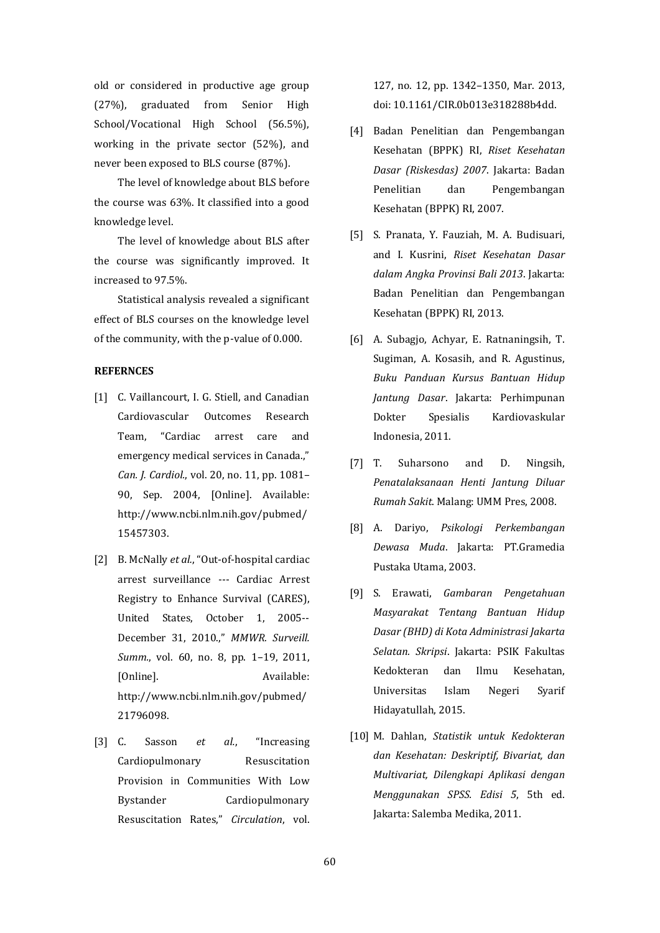old or considered in productive age group (27%), graduated from Senior High School/Vocational High School (56.5%), working in the private sector (52%), and never been exposed to BLS course (87%).

The level of knowledge about BLS before the course was 63%. It classified into a good knowledge level.

The level of knowledge about BLS after the course was significantly improved. It increased to 97.5%.

Statistical analysis revealed a significant effect of BLS courses on the knowledge level of the community, with the p-value of 0.000.

#### **REFERNCES**

- [1] C. Vaillancourt, I. G. Stiell, and Canadian Cardiovascular Outcomes Research Team, "Cardiac arrest care and emergency medical services in Canada.," *Can. J. Cardiol.*, vol. 20, no. 11, pp. 1081– 90, Sep. 2004, [Online]. Available: http://www.ncbi.nlm.nih.gov/pubmed/ 15457303.
- [2] B. McNally *et al.*, "Out-of-hospital cardiac arrest surveillance --- Cardiac Arrest Registry to Enhance Survival (CARES), United States, October 1, 2005-- December 31, 2010.," *MMWR. Surveill. Summ.*, vol. 60, no. 8, pp. 1–19, 2011, [Online]. Available: http://www.ncbi.nlm.nih.gov/pubmed/ 21796098.
- [3] C. Sasson *et al.*, "Increasing Cardiopulmonary Resuscitation Provision in Communities With Low Bystander Cardiopulmonary Resuscitation Rates," *Circulation*, vol.

127, no. 12, pp. 1342–1350, Mar. 2013, doi: 10.1161/CIR.0b013e318288b4dd.

- [4] Badan Penelitian dan Pengembangan Kesehatan (BPPK) RI, *Riset Kesehatan Dasar (Riskesdas) 2007*. Jakarta: Badan Penelitian dan Pengembangan Kesehatan (BPPK) RI, 2007.
- [5] S. Pranata, Y. Fauziah, M. A. Budisuari, and I. Kusrini, *Riset Kesehatan Dasar dalam Angka Provinsi Bali 2013*. Jakarta: Badan Penelitian dan Pengembangan Kesehatan (BPPK) RI, 2013.
- [6] A. Subagjo, Achyar, E. Ratnaningsih, T. Sugiman, A. Kosasih, and R. Agustinus, *Buku Panduan Kursus Bantuan Hidup Jantung Dasar*. Jakarta: Perhimpunan Dokter Spesialis Kardiovaskular Indonesia, 2011.
- [7] T. Suharsono and D. Ningsih, *Penatalaksanaan Henti Jantung Diluar Rumah Sakit*. Malang: UMM Pres, 2008.
- [8] A. Dariyo, *Psikologi Perkembangan Dewasa Muda*. Jakarta: PT.Gramedia Pustaka Utama, 2003.
- [9] S. Erawati, *Gambaran Pengetahuan Masyarakat Tentang Bantuan Hidup Dasar (BHD) di Kota Administrasi Jakarta Selatan. Skripsi*. Jakarta: PSIK Fakultas Kedokteran dan Ilmu Kesehatan, Universitas Islam Negeri Syarif Hidayatullah, 2015.
- [10] M. Dahlan, *Statistik untuk Kedokteran dan Kesehatan: Deskriptif, Bivariat, dan Multivariat, Dilengkapi Aplikasi dengan Menggunakan SPSS. Edisi 5*, 5th ed. Jakarta: Salemba Medika, 2011.